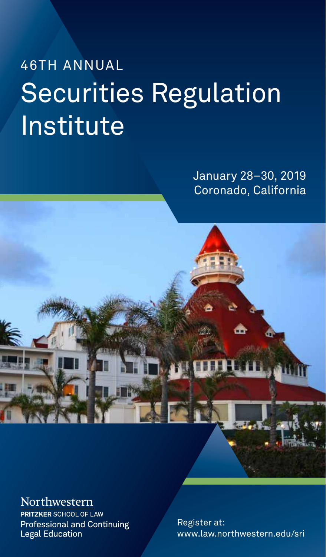# 46TH ANNUAL Securities Regulation **Institute**

January 28–30, 2019 Coronado, California



Northwestern

**PRITZKER** SCHOOL OF LAW **Professional and Continuing Legal Education** 

Register at: www.law.northwestern.edu/sri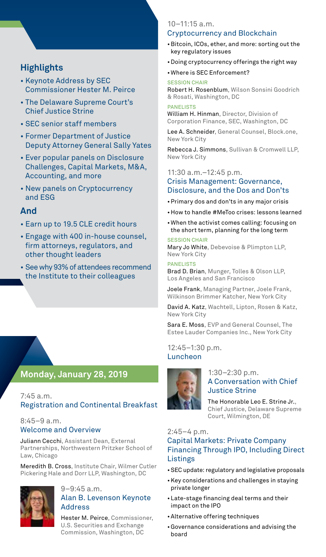# **Highlights**

- Keynote Address by SEC Commissioner Hester M. Peirce
- The Delaware Supreme Court's Chief Justice Strine
- SEC senior staff members
- Former Department of Justice Deputy Attorney General Sally Yates
- Ever popular panels on Disclosure Challenges, Capital Markets, M&A, Accounting, and more
- New panels on Cryptocurrency and ESG

# **And**

- Earn up to 19.5 CLE credit hours
- Engage with 400 in-house counsel, firm attorneys, regulators, and other thought leaders
- See why 93% of attendees recommend the Institute to their colleagues

# **Monday, January 28, 2019**

7:45 a.m. Registration and Continental Breakfast

#### 8:45–9 a.m. Welcome and Overview

Juliann Cecchi, Assistant Dean, External Partnerships, Northwestern Pritzker School of Law, Chicago

Meredith B. Cross, Institute Chair, Wilmer Cutler Pickering Hale and Dorr LLP, Washington, DC



# 9–9:45 a.m.

#### Alan B. Levenson Keynote Address

Hester M. Peirce, Commissioner, U.S. Securities and Exchange Commission, Washington, DC

#### 10–11:15 a.m. Cryptocurrency and Blockchain

- •Bitcoin, ICOs, ether, and more: sorting out the key regulatory issues
- •Doing cryptocurrency offerings the right way
- •Where is SEC Enforcement?

#### SESSION CHAIR

Robert H. Rosenblum, Wilson Sonsini Goodrich & Rosati, Washington, DC

#### PANELISTS

William H. Hinman, Director, Division of Corporation Finance, SEC, Washington, DC

Lee A. Schneider, General Counsel, Block.one, New York City

Rebecca J. Simmons, Sullivan & Cromwell LLP, New York City

11:30 a.m.–12:45 p.m.

#### Crisis Management: Governance, Disclosure, and the Dos and Don'ts

- •Primary dos and don'ts in any major crisis
- •How to handle #MeToo crises: lessons learned
- •When the activist comes calling: focusing on the short term, planning for the long term

#### SESSION CHAIR

Mary Jo White, Debevoise & Plimpton LLP, New York City

#### PANELISTS

Brad D. Brian, Munger, Tolles & Olson LLP, Los Angeles and San Francisco

Joele Frank, Managing Partner, Joele Frank, Wilkinson Brimmer Katcher, New York City

David A. Katz, Wachtell, Lipton, Rosen & Katz, New York City

Sara E. Moss, EVP and General Counsel, The Estee Lauder Companies Inc., New York City

12:45–1:30 p.m. Luncheon



#### 1:30–2:30 p.m. A Conversation with Chief Justice Strine

The Honorable Leo E. Strine Jr., Chief Justice, Delaware Supreme Court, Wilmington, DE

#### 2:45–4 p.m.

# Capital Markets: Private Company Financing Through IPO, Including Direct Listings

- •SEC update: regulatory and legislative proposals
- •Key considerations and challenges in staying private longer
- •Late-stage financing deal terms and their impact on the IPO
- •Alternative offering techniques
- •Governance considerations and advising the board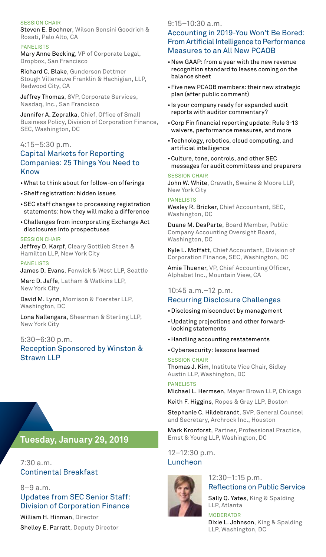#### SESSION CHAIR

Steven E. Bochner, Wilson Sonsini Goodrich & Rosati, Palo Alto, CA

#### PANELISTS

Mary Anne Becking, VP of Corporate Legal, Dropbox, San Francisco

Richard C. Blake, Gunderson Dettmer Stough Villeneuve Franklin & Hachigian, LLP, Redwood City, CA

Jeffrey Thomas, SVP, Corporate Services, Nasdaq, Inc., San Francisco

Jennifer A. Zepralka, Chief, Office of Small Business Policy, Division of Corporation Finance, SEC, Washington, DC

#### 4:15–5:30 p.m. Capital Markets for Reporting Companies: 25 Things You Need to Know

- •What to think about for follow-on offerings
- •Shelf registration: hidden issues
- •SEC staff changes to processing registration statements: how they will make a difference
- •Challenges from incorporating Exchange Act disclosures into prospectuses

#### SESSION CHAIR

Jeffrey D. Karpf, Cleary Gottlieb Steen & Hamilton LLP, New York City

PANELISTS James D. Evans, Fenwick & West LLP, Seattle

Marc D. Jaffe, Latham & Watkins LLP, New York City

David M. Lynn, Morrison & Foerster LLP, Washington, DC

Lona Nallengara, Shearman & Sterling LLP, New York City

#### 5:30–6:30 p.m. Reception Sponsored by Winston & Strawn LLP

# **Tuesday, January 29, 2019**

7:30 a.m. Continental Breakfast

8–9 a.m. Updates from SEC Senior Staff: Division of Corporation Finance William H. Hinman, Director

Shelley E. Parratt, Deputy Director

#### $9.15 - 10.30$  a.m.

#### Accounting in 2019-You Won't Be Bored: From Artificial Intelligence to Performance Measures to an All New PCAOB

- •New GAAP: from a year with the new revenue recognition standard to leases coming on the balance sheet
- •Five new PCAOB members: their new strategic plan (after public comment)
- Is your company ready for expanded audit reports with auditor commentary?
- •Corp Fin financial reporting update: Rule 3-13 waivers, performance measures, and more
- •Technology, robotics, cloud computing, and artificial intelligence
- •Culture, tone, controls, and other SEC messages for audit committees and preparers

#### SESSION CHAIR

John W. White, Cravath, Swaine & Moore LLP, New York City

#### PANELISTS

Wesley R. Bricker, Chief Accountant, SEC, Washington, DC

Duane M. DesParte, Board Member, Public Company Accounting Oversight Board, Washington, DC

Kyle L. Moffatt, Chief Accountant, Division of Corporation Finance, SEC, Washington, DC

Amie Thuener, VP, Chief Accounting Officer, Alphabet Inc., Mountain View, CA

#### 10:45 a.m.–12 p.m.

- Recurring Disclosure Challenges
- •Disclosing misconduct by management
- •Updating projections and other forwardlooking statements
- •Handling accounting restatements
- •Cybersecurity: lessons learned

SESSION CHAIR Thomas J. Kim, Institute Vice Chair, Sidley Austin LLP, Washington, DC

#### PANELISTS

Michael L. Hermsen, Mayer Brown LLP, Chicago

Keith F. Higgins, Ropes & Gray LLP, Boston

Stephanie C. Hildebrandt, SVP, General Counsel and Secretary, Archrock Inc., Houston

Mark Kronforst, Partner, Professional Practice, Ernst & Young LLP, Washington, DC

12–12:30 p.m. Luncheon



12:30–1:15 p.m. Reflections on Public Service

Sally Q. Yates, King & Spalding LLP, Atlanta

MODERATOR Dixie L. Johnson, King & Spalding LLP, Washington, DC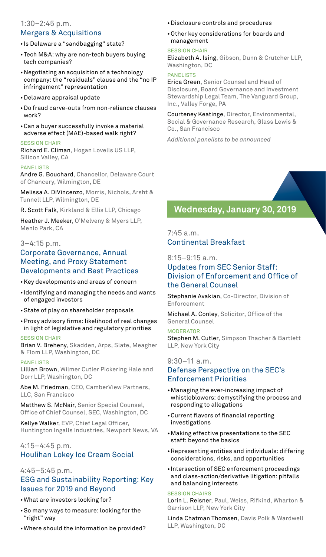#### 1:30–2:45 p.m. Mergers & Acquisitions

- Is Delaware a "sandbagging" state?
- •Tech M&A: why are non-tech buyers buying tech companies?
- •Negotiating an acquisition of a technology company: the "residuals" clause and the "no IP infringement" representation
- •Delaware appraisal update
- •Do fraud carve-outs from non-reliance clauses work?
- •Can a buyer successfully invoke a material adverse effect (MAE)-based walk right?

#### SESSION CHAIR

Richard E. Climan, Hogan Lovells US LLP, Silicon Valley, CA

#### PANELISTS

Andre G. Bouchard, Chancellor, Delaware Court of Chancery, Wilmington, DE

Melissa A. DiVincenzo, Morris, Nichols, Arsht & Tunnell LLP, Wilmington, DE

R. Scott Falk, Kirkland & Ellis LLP, Chicago

Heather J. Meeker, O'Melveny & Myers LLP, Menlo Park, CA

#### 3–4:15 p.m.

## Corporate Governance, Annual Meeting, and Proxy Statement Developments and Best Practices

- •Key developments and areas of concern
- Identifying and managing the needs and wants of engaged investors
- •State of play on shareholder proposals
- •Proxy advisory firms: likelihood of real changes in light of legislative and regulatory priorities

#### SESSION CHAIR

Brian V. Breheny, Skadden, Arps, Slate, Meagher & Flom LLP, Washington, DC

#### PANELISTS

Lillian Brown, Wilmer Cutler Pickering Hale and Dorr LLP, Washington, DC

Abe M. Friedman, CEO, CamberView Partners, LLC, San Francisco

Matthew S. McNair, Senior Special Counsel, Office of Chief Counsel, SEC, Washington, DC

Kellye Walker, EVP, Chief Legal Officer, Huntington Ingalls Industries, Newport News, VA

## 4:15–4:45 p.m. Houlihan Lokey Ice Cream Social

#### 4:45–5:45 p.m. ESG and Sustainability Reporting: Key Issues for 2019 and Beyond

- •What are investors looking for?
- •So many ways to measure: looking for the "right" way
- •Where should the information be provided?
- •Disclosure controls and procedures
- •Other key considerations for boards and management

#### SESSION CHAIR

Elizabeth A. Ising, Gibson, Dunn & Crutcher LLP, Washington, DC

#### PANELISTS

Erica Green, Senior Counsel and Head of Disclosure, Board Governance and Investment Stewardship Legal Team, The Vanguard Group, Inc., Valley Forge, PA

Courteney Keatinge, Director, Environmental, Social & Governance Research, Glass Lewis & Co., San Francisco

*Additional panelists to be announced*

# **Wednesday, January 30, 2019**

7:45 a.m. Continental Breakfast

8:15–9:15 a.m.

# Updates from SEC Senior Staff: Division of Enforcement and Office of the General Counsel

Stephanie Avakian, Co-Director, Division of Enforcement

Michael A. Conley, Solicitor, Office of the General Counsel

**MODERATOR** Stephen M. Cutler, Simpson Thacher & Bartlett LLP, New York City

#### 9:30–11 a.m.

# Defense Perspective on the SEC's Enforcement Priorities

- •Managing the ever-increasing impact of whistleblowers: demystifying the process and responding to allegations
- •Current flavors of financial reporting investigations
- •Making effective presentations to the SEC staff: beyond the basics
- •Representing entities and individuals: differing considerations, risks, and opportunities
- Intersection of SEC enforcement proceedings and class-action/derivative litigation: pitfalls and balancing interests

#### SESSION CHAIRS

Lorin L. Reisner, Paul, Weiss, Rifkind, Wharton & Garrison LLP, New York City

Linda Chatman Thomsen, Davis Polk & Wardwell LLP, Washington, DC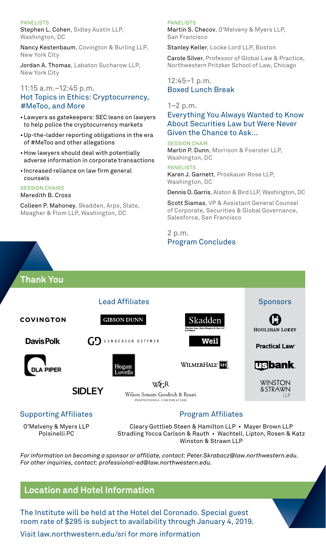#### PANELISTS

Stephen L. Cohen, Sidley Austin LLP, Washington, DC

Nancy Kestenbaum, Covington & Burling LLP, New York City

Jordan A. Thomas, Labaton Sucharow LLP, New York City

#### 11:15 a.m.–12:45 p.m. Hot Topics in Ethics: Cryptocurrency, #MeToo, and More

- •Lawyers as gatekeepers: SEC leans on lawyers to help police the cryptocurrency markets
- •Up-the-ladder reporting obligations in the era of #MeToo and other allegations
- •How lawyers should deal with potentially adverse information in corporate transactions
- Increased reliance on law firm general counsels

#### SESSION CHAIRS

#### Meredith B. Cross

Colleen P. Mahoney, Skadden, Arps, Slate, Meagher & Flom LLP, Washington, DC

#### PANELISTS

Martin S. Checov, O'Melveny & Myers LLP, San Francisco

Stanley Keller, Locke Lord LLP, Boston

Carole Silver, Professor of Global Law & Practice, Northwestern Pritzker School of Law, Chicago

#### 12:45–1 p.m. Boxed Lunch Break

#### $1-2$  p.m.

Everything You Always Wanted to Know About Securities Law but Were Never Given the Chance to Ask...

SESSION CHAIR Martin P. Dunn, Morrison & Foerster LLP, Washington, DC

PANELISTS Karen J. Garnett, Proskauer Rose LLP, Washington, DC

Dennis O. Garris, Alston & Bird LLP, Washington, DC

Scott Siamas, VP & Assistant General Counsel of Corporate, Securities & Global Governance, Salesforce, San Francisco

2 p.m. Program Concludes



O'Melveny & Myers LLP Polsinelli PC

Cleary Gottlieb Steen & Hamilton LLP • Mayer Brown LLP Stradling Yocca Carlson & Rauth • Wachtell, Lipton, Rosen & Katz Winston & Strawn LLP

*For information on becoming a sponsor or affiliate, contact: Peter.Skrabacz@law.northwestern.edu. For other inquiries, contact: professional-ed@law.northwestern.edu.*

# **Location and Hotel Information**

The Institute will be held at the Hotel del Coronado. Special guest room rate of \$295 is subject to availability through January 4, 2019.

Visit law.northwestern.edu/sri for more information